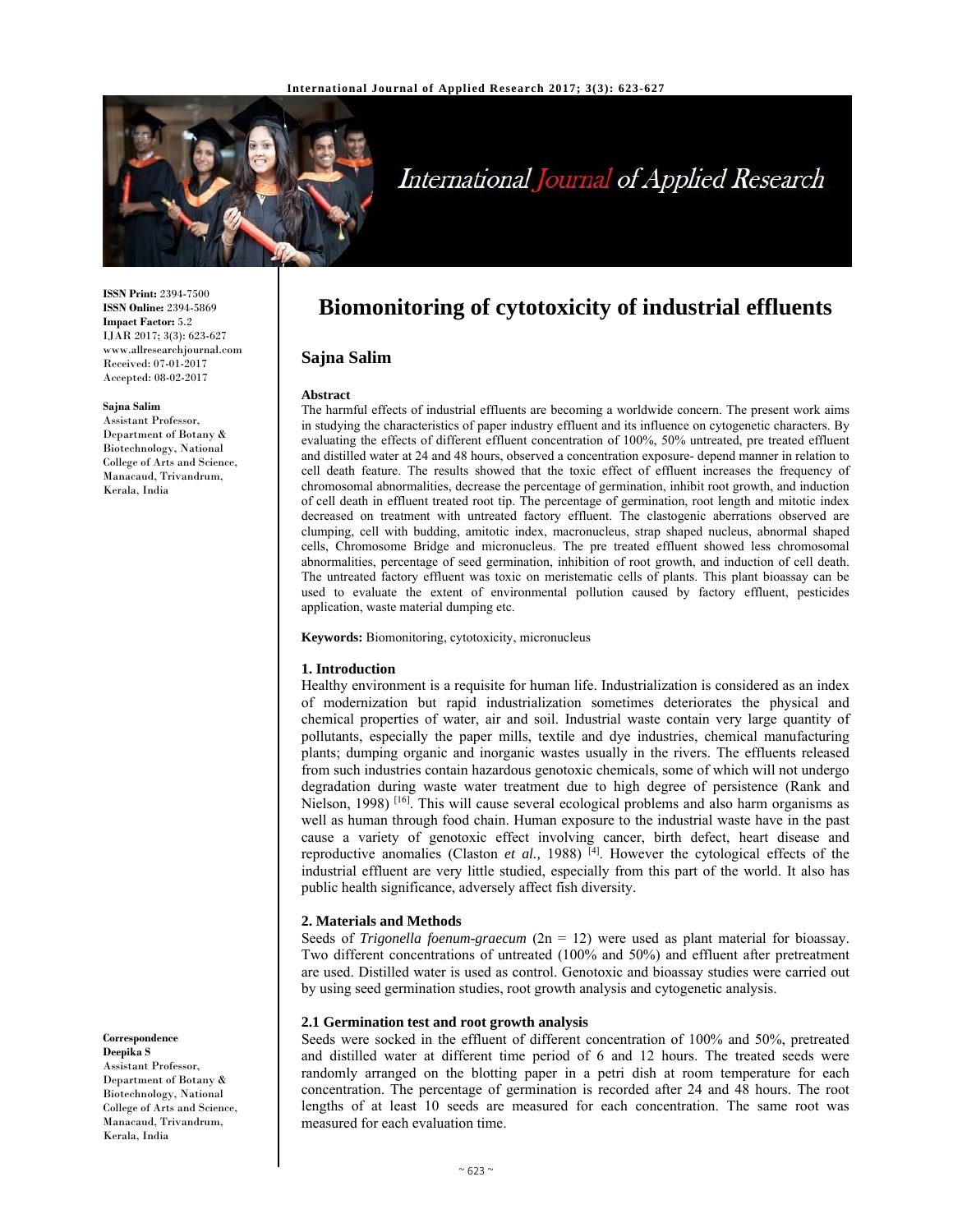

# International Journal of Applied Research

**ISSN Print:** 2394-7500 **ISSN Online:** 2394-5869 **Impact Factor:** 5.2 IJAR 2017; 3(3): 623-627 www.allresearchjournal.com Received: 07-01-2017 Accepted: 08-02-2017

#### **Sajna Salim**

Assistant Professor, College of Arts and Science, Kerala, India

Department of Botany & Biotechnology, National Manacaud, Trivandrum,

**Correspondence Deepika S**  Assistant Professor,

Department of Botany & Biotechnology, National College of Arts and Science, Manacaud, Trivandrum, Kerala, India

# **Biomonitoring of cytotoxicity of industrial effluents**

### **Sajna Salim**

#### **Abstract**

The harmful effects of industrial effluents are becoming a worldwide concern. The present work aims in studying the characteristics of paper industry effluent and its influence on cytogenetic characters. By evaluating the effects of different effluent concentration of 100%, 50% untreated, pre treated effluent and distilled water at 24 and 48 hours, observed a concentration exposure- depend manner in relation to cell death feature. The results showed that the toxic effect of effluent increases the frequency of chromosomal abnormalities, decrease the percentage of germination, inhibit root growth, and induction of cell death in effluent treated root tip. The percentage of germination, root length and mitotic index decreased on treatment with untreated factory effluent. The clastogenic aberrations observed are clumping, cell with budding, amitotic index, macronucleus, strap shaped nucleus, abnormal shaped cells, Chromosome Bridge and micronucleus. The pre treated effluent showed less chromosomal abnormalities, percentage of seed germination, inhibition of root growth, and induction of cell death. The untreated factory effluent was toxic on meristematic cells of plants. This plant bioassay can be used to evaluate the extent of environmental pollution caused by factory effluent, pesticides application, waste material dumping etc.

**Keywords:** Biomonitoring, cytotoxicity, micronucleus

#### **1. Introduction**

Healthy environment is a requisite for human life. Industrialization is considered as an index of modernization but rapid industrialization sometimes deteriorates the physical and chemical properties of water, air and soil. Industrial waste contain very large quantity of pollutants, especially the paper mills, textile and dye industries, chemical manufacturing plants; dumping organic and inorganic wastes usually in the rivers. The effluents released from such industries contain hazardous genotoxic chemicals, some of which will not undergo degradation during waste water treatment due to high degree of persistence (Rank and Nielson, 1998)<sup>[16]</sup>. This will cause several ecological problems and also harm organisms as well as human through food chain. Human exposure to the industrial waste have in the past cause a variety of genotoxic effect involving cancer, birth defect, heart disease and reproductive anomalies (Claston *et al.*, 1988)<sup>[4]</sup>. However the cytological effects of the industrial effluent are very little studied, especially from this part of the world. It also has public health significance, adversely affect fish diversity.

#### **2. Materials and Methods**

Seeds of *Trigonella foenum-graecum* (2n = 12) were used as plant material for bioassay. Two different concentrations of untreated (100% and 50%) and effluent after pretreatment are used. Distilled water is used as control. Genotoxic and bioassay studies were carried out by using seed germination studies, root growth analysis and cytogenetic analysis.

#### **2.1 Germination test and root growth analysis**

Seeds were socked in the effluent of different concentration of 100% and 50%, pretreated and distilled water at different time period of 6 and 12 hours. The treated seeds were randomly arranged on the blotting paper in a petri dish at room temperature for each concentration. The percentage of germination is recorded after 24 and 48 hours. The root lengths of at least 10 seeds are measured for each concentration. The same root was measured for each evaluation time.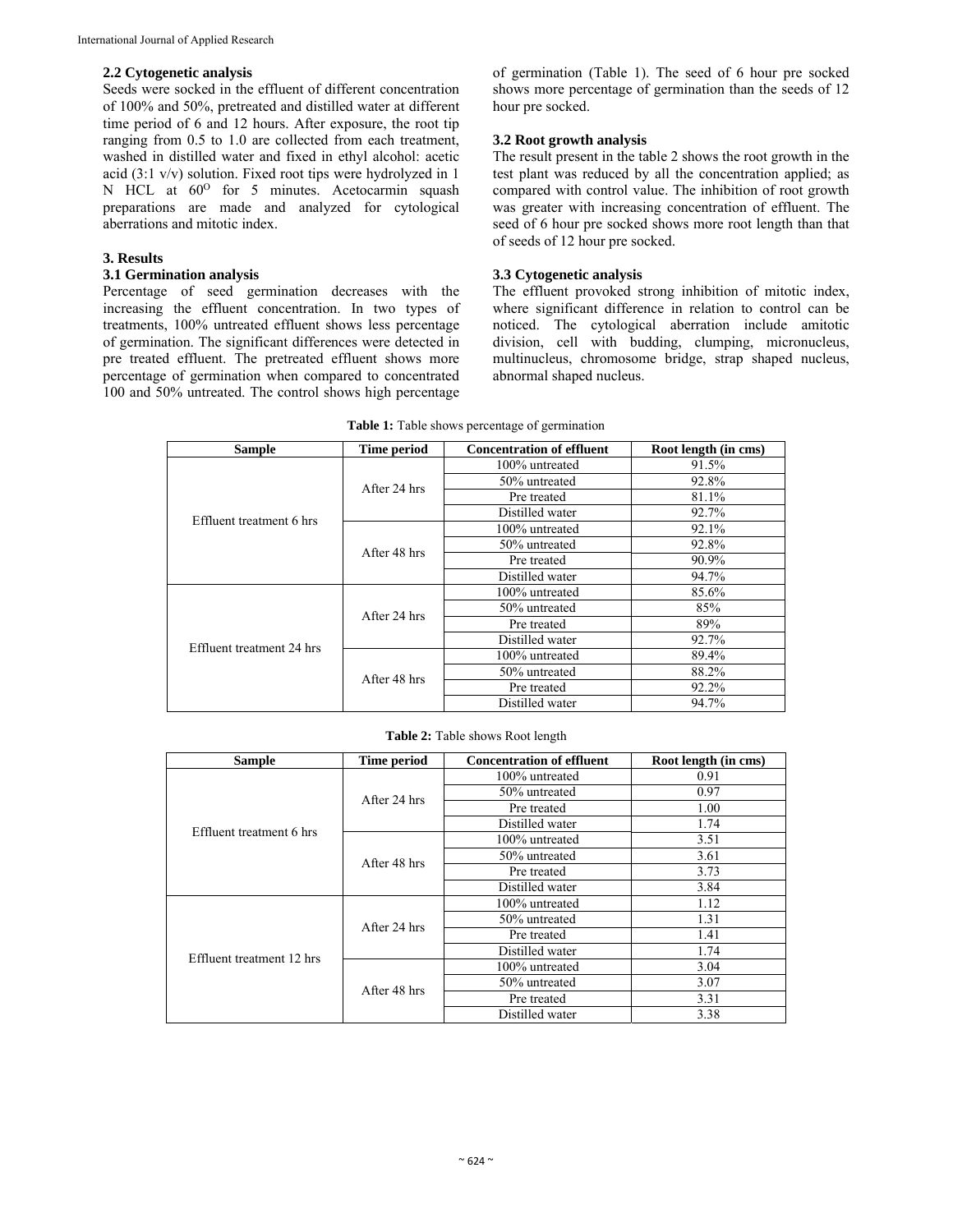### **2.2 Cytogenetic analysis**

Seeds were socked in the effluent of different concentration of 100% and 50%, pretreated and distilled water at different time period of 6 and 12 hours. After exposure, the root tip ranging from 0.5 to 1.0 are collected from each treatment, washed in distilled water and fixed in ethyl alcohol: acetic acid (3:1 v/v) solution. Fixed root tips were hydrolyzed in 1 N HCL at  $60^{\circ}$  for 5 minutes. Acetocarmin squash preparations are made and analyzed for cytological aberrations and mitotic index.

# **3. Results**

## **3.1 Germination analysis**

Percentage of seed germination decreases with the increasing the effluent concentration. In two types of treatments, 100% untreated effluent shows less percentage of germination. The significant differences were detected in pre treated effluent. The pretreated effluent shows more percentage of germination when compared to concentrated 100 and 50% untreated. The control shows high percentage

of germination (Table 1). The seed of 6 hour pre socked shows more percentage of germination than the seeds of 12 hour pre socked.

# **3.2 Root growth analysis**

The result present in the table 2 shows the root growth in the test plant was reduced by all the concentration applied; as compared with control value. The inhibition of root growth was greater with increasing concentration of effluent. The seed of 6 hour pre socked shows more root length than that of seeds of 12 hour pre socked.

# **3.3 Cytogenetic analysis**

The effluent provoked strong inhibition of mitotic index, where significant difference in relation to control can be noticed. The cytological aberration include amitotic division, cell with budding, clumping, micronucleus, multinucleus, chromosome bridge, strap shaped nucleus, abnormal shaped nucleus.

| <b>Sample</b>             | Time period                                                                                                                                                            | <b>Concentration of effluent</b> | Root length (in cms) |
|---------------------------|------------------------------------------------------------------------------------------------------------------------------------------------------------------------|----------------------------------|----------------------|
|                           | After 24 hrs                                                                                                                                                           | 100% untreated                   | 91.5%                |
|                           |                                                                                                                                                                        | 50% untreated                    | 92.8%                |
|                           |                                                                                                                                                                        | Pre treated                      | 81.1%                |
| Effluent treatment 6 hrs  |                                                                                                                                                                        | Distilled water                  | 92.7%                |
|                           | After 48 hrs                                                                                                                                                           | 100% untreated                   | 92.1%                |
|                           |                                                                                                                                                                        | 50% untreated                    | 92.8%                |
|                           |                                                                                                                                                                        | Pre treated                      | 90.9%                |
|                           |                                                                                                                                                                        | Distilled water                  | 94.7%                |
|                           | 100% untreated<br>50% untreated<br>After 24 hrs<br>Pre treated<br>Distilled water<br>100% untreated<br>50% untreated<br>After 48 hrs<br>Pre treated<br>Distilled water |                                  | 85.6%                |
|                           |                                                                                                                                                                        |                                  | 85%                  |
|                           |                                                                                                                                                                        | 89%                              |                      |
| Effluent treatment 24 hrs |                                                                                                                                                                        |                                  | 92.7%                |
|                           |                                                                                                                                                                        |                                  | 89.4%                |
|                           |                                                                                                                                                                        |                                  | 88.2%                |
|                           |                                                                                                                                                                        |                                  | 92.2%                |
|                           |                                                                                                                                                                        |                                  | 94.7%                |

#### **Table 1:** Table shows percentage of germination

**Table 2:** Table shows Root length

| <b>Sample</b>             | Time period  | <b>Concentration of effluent</b> | Root length (in cms) |
|---------------------------|--------------|----------------------------------|----------------------|
| Effluent treatment 6 hrs  | After 24 hrs | 100% untreated                   | 0.91                 |
|                           |              | 50% untreated                    | 0.97                 |
|                           |              | Pre treated                      | 1.00                 |
|                           |              | Distilled water                  | 1.74                 |
|                           | After 48 hrs | 100% untreated                   | 3.51                 |
|                           |              | 50% untreated                    | 3.61                 |
|                           |              | Pre treated                      | 3.73                 |
|                           |              | Distilled water                  | 3.84                 |
| Effluent treatment 12 hrs | After 24 hrs | 100% untreated                   | 1.12                 |
|                           |              | 50% untreated                    | 1.31                 |
|                           |              | Pre treated                      | 1.41                 |
|                           |              | Distilled water                  | 1.74                 |
|                           | After 48 hrs | 100% untreated                   | 3.04                 |
|                           |              | 50% untreated                    | 3.07                 |
|                           |              | Pre treated                      | 3.31                 |
|                           |              | Distilled water                  | 3.38                 |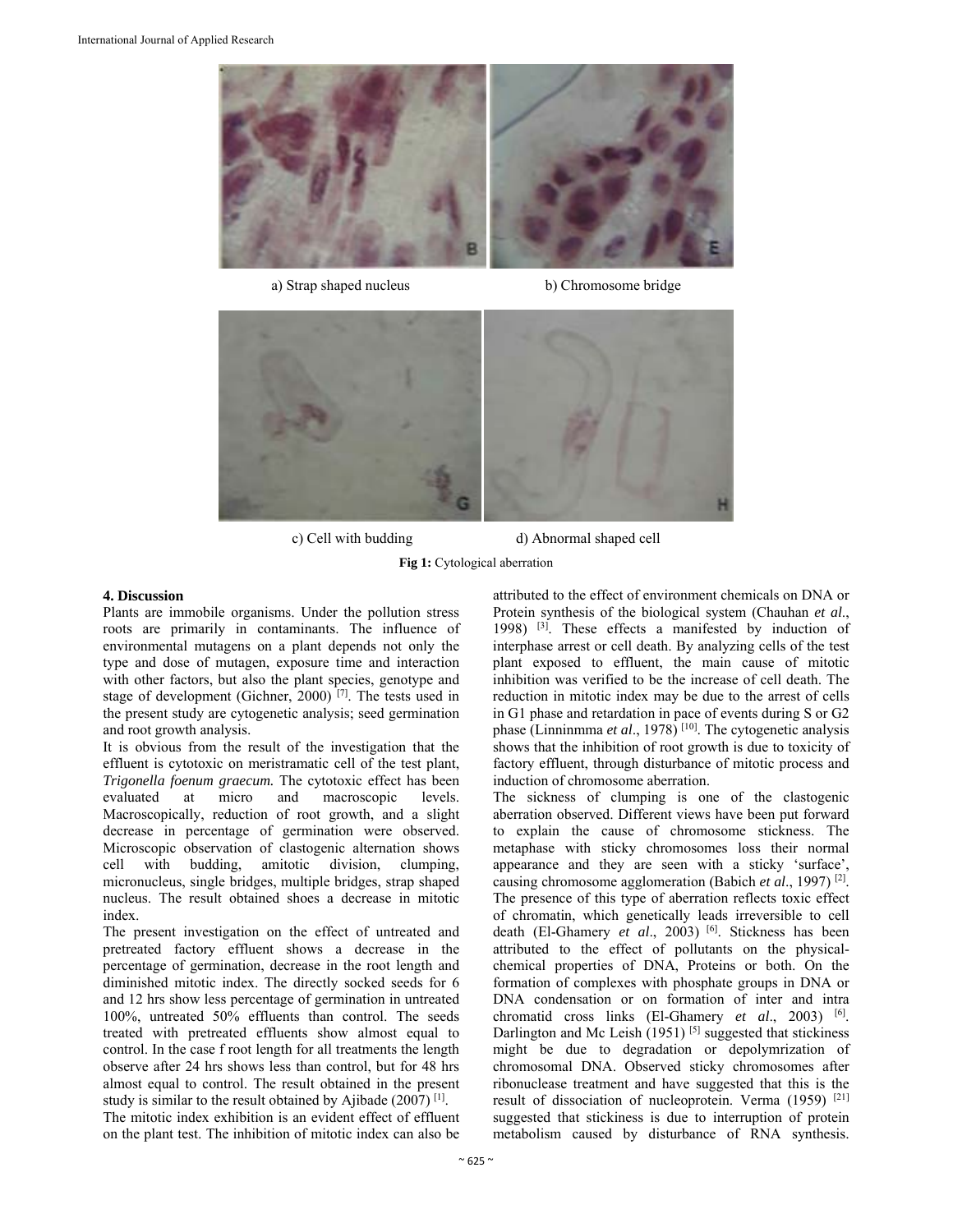





c) Cell with budding d) Abnormal shaped cell

**Fig 1:** Cytological aberration

#### **4. Discussion**

Plants are immobile organisms. Under the pollution stress roots are primarily in contaminants. The influence of environmental mutagens on a plant depends not only the type and dose of mutagen, exposure time and interaction with other factors, but also the plant species, genotype and stage of development (Gichner, 2000) [7]. The tests used in the present study are cytogenetic analysis; seed germination and root growth analysis.

It is obvious from the result of the investigation that the effluent is cytotoxic on meristramatic cell of the test plant, *Trigonella foenum graecum.* The cytotoxic effect has been evaluated at micro and macroscopic levels. Macroscopically, reduction of root growth, and a slight decrease in percentage of germination were observed. Microscopic observation of clastogenic alternation shows cell with budding, amitotic division, clumping, micronucleus, single bridges, multiple bridges, strap shaped nucleus. The result obtained shoes a decrease in mitotic index.

The present investigation on the effect of untreated and pretreated factory effluent shows a decrease in the percentage of germination, decrease in the root length and diminished mitotic index. The directly socked seeds for 6 and 12 hrs show less percentage of germination in untreated 100%, untreated 50% effluents than control. The seeds treated with pretreated effluents show almost equal to control. In the case f root length for all treatments the length observe after 24 hrs shows less than control, but for 48 hrs almost equal to control. The result obtained in the present study is similar to the result obtained by Ajibade (2007) [1].

The mitotic index exhibition is an evident effect of effluent on the plant test. The inhibition of mitotic index can also be

attributed to the effect of environment chemicals on DNA or Protein synthesis of the biological system (Chauhan *et al*., 1998) [3]. These effects a manifested by induction of interphase arrest or cell death. By analyzing cells of the test plant exposed to effluent, the main cause of mitotic inhibition was verified to be the increase of cell death. The reduction in mitotic index may be due to the arrest of cells in G1 phase and retardation in pace of events during S or G2 phase (Linninmma *et al*., 1978) [10]. The cytogenetic analysis shows that the inhibition of root growth is due to toxicity of factory effluent, through disturbance of mitotic process and induction of chromosome aberration.

The sickness of clumping is one of the clastogenic aberration observed. Different views have been put forward to explain the cause of chromosome stickness. The metaphase with sticky chromosomes loss their normal appearance and they are seen with a sticky 'surface', causing chromosome agglomeration (Babich *et al*., 1997) [2]. The presence of this type of aberration reflects toxic effect of chromatin, which genetically leads irreversible to cell death (El-Ghamery *et al.*, 2003)<sup>[6]</sup>. Stickness has been attributed to the effect of pollutants on the physicalchemical properties of DNA, Proteins or both. On the formation of complexes with phosphate groups in DNA or DNA condensation or on formation of inter and intra chromatid cross links (El-Ghamery *et al*., 2003) [6]. Darlington and Mc Leish (1951)<sup>[5]</sup> suggested that stickiness might be due to degradation or depolymrization of chromosomal DNA. Observed sticky chromosomes after ribonuclease treatment and have suggested that this is the result of dissociation of nucleoprotein. Verma (1959) [21] suggested that stickiness is due to interruption of protein metabolism caused by disturbance of RNA synthesis.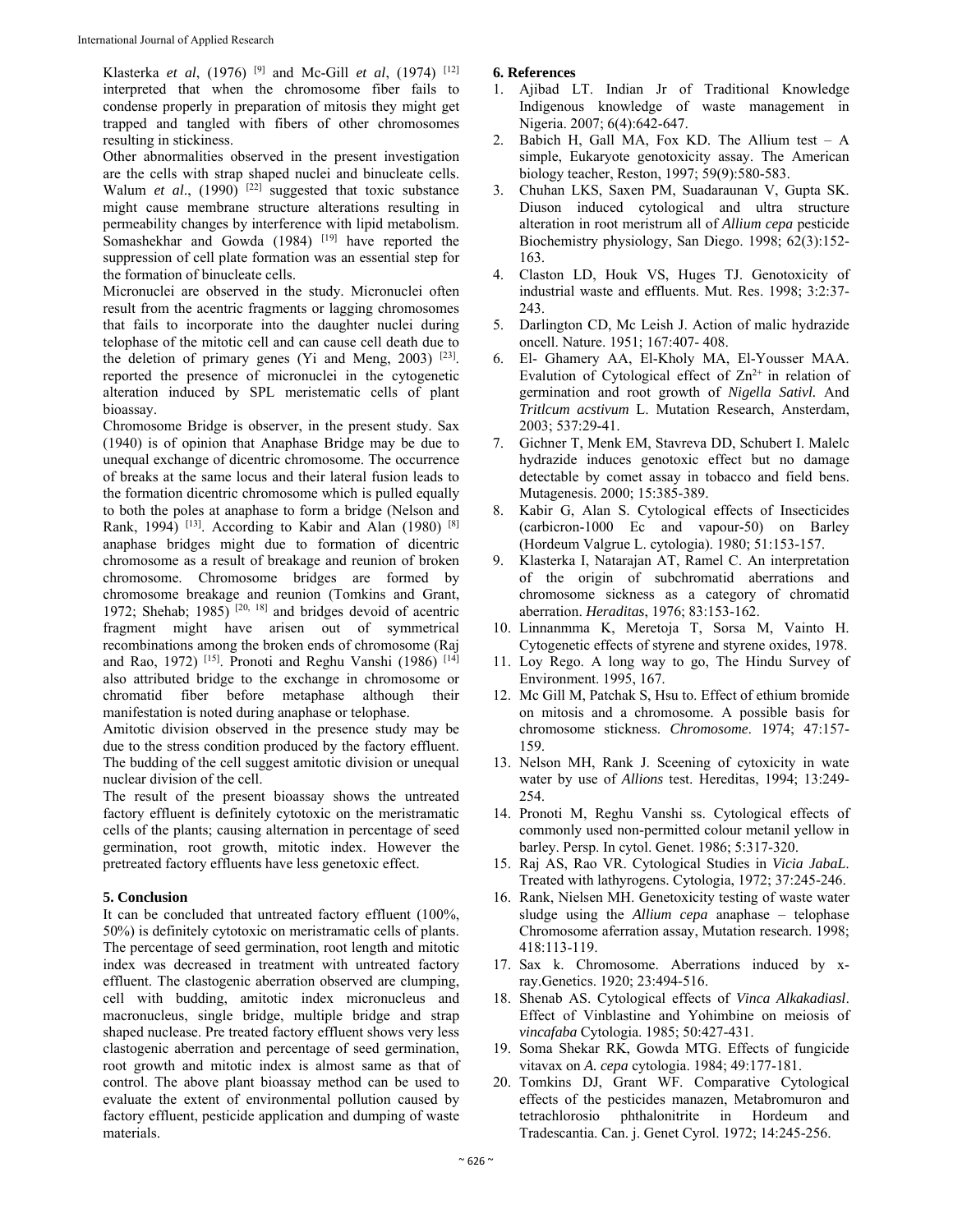Klasterka *et al*, (1976) [9] and Mc-Gill *et al*, (1974) [12] interpreted that when the chromosome fiber fails to condense properly in preparation of mitosis they might get trapped and tangled with fibers of other chromosomes resulting in stickiness.

Other abnormalities observed in the present investigation are the cells with strap shaped nuclei and binucleate cells. Walum *et al.*, (1990)<sup>[22]</sup> suggested that toxic substance might cause membrane structure alterations resulting in permeability changes by interference with lipid metabolism. Somashekhar and Gowda (1984) <sup>[19]</sup> have reported the suppression of cell plate formation was an essential step for the formation of binucleate cells.

Micronuclei are observed in the study. Micronuclei often result from the acentric fragments or lagging chromosomes that fails to incorporate into the daughter nuclei during telophase of the mitotic cell and can cause cell death due to the deletion of primary genes (Yi and Meng, 2003) <sup>[23]</sup>. reported the presence of micronuclei in the cytogenetic alteration induced by SPL meristematic cells of plant bioassay.

Chromosome Bridge is observer, in the present study. Sax (1940) is of opinion that Anaphase Bridge may be due to unequal exchange of dicentric chromosome. The occurrence of breaks at the same locus and their lateral fusion leads to the formation dicentric chromosome which is pulled equally to both the poles at anaphase to form a bridge (Nelson and Rank, 1994)<sup>[13]</sup>. According to Kabir and Alan (1980)<sup>[8]</sup> anaphase bridges might due to formation of dicentric chromosome as a result of breakage and reunion of broken chromosome. Chromosome bridges are formed by chromosome breakage and reunion (Tomkins and Grant, 1972; Shehab; 1985)  $[20, 18]$  and bridges devoid of acentric fragment might have arisen out of symmetrical recombinations among the broken ends of chromosome (Raj and Rao, 1972) <sup>[15]</sup>. Pronoti and Reghu Vanshi (1986) <sup>[14]</sup> also attributed bridge to the exchange in chromosome or chromatid fiber before metaphase although their manifestation is noted during anaphase or telophase.

Amitotic division observed in the presence study may be due to the stress condition produced by the factory effluent. The budding of the cell suggest amitotic division or unequal nuclear division of the cell.

The result of the present bioassay shows the untreated factory effluent is definitely cytotoxic on the meristramatic cells of the plants; causing alternation in percentage of seed germination, root growth, mitotic index. However the pretreated factory effluents have less genetoxic effect.

# **5. Conclusion**

It can be concluded that untreated factory effluent (100%, 50%) is definitely cytotoxic on meristramatic cells of plants. The percentage of seed germination, root length and mitotic index was decreased in treatment with untreated factory effluent. The clastogenic aberration observed are clumping, cell with budding, amitotic index micronucleus and macronucleus, single bridge, multiple bridge and strap shaped nuclease. Pre treated factory effluent shows very less clastogenic aberration and percentage of seed germination, root growth and mitotic index is almost same as that of control. The above plant bioassay method can be used to evaluate the extent of environmental pollution caused by factory effluent, pesticide application and dumping of waste materials.

# **6. References**

- 1. Ajibad LT. Indian Jr of Traditional Knowledge Indigenous knowledge of waste management in Nigeria. 2007; 6(4):642-647.
- 2. Babich H, Gall MA, Fox KD. The Allium test A simple, Eukaryote genotoxicity assay. The American biology teacher, Reston, 1997; 59(9):580-583.
- 3. Chuhan LKS, Saxen PM, Suadaraunan V, Gupta SK. Diuson induced cytological and ultra structure alteration in root meristrum all of *Allium cepa* pesticide Biochemistry physiology, San Diego. 1998; 62(3):152- 163.
- 4. Claston LD, Houk VS, Huges TJ. Genotoxicity of industrial waste and effluents. Mut. Res. 1998; 3:2:37- 243.
- 5. Darlington CD, Mc Leish J. Action of malic hydrazide oncell. Nature. 1951; 167:407- 408.
- 6. El- Ghamery AA, El-Kholy MA, El-Yousser MAA. Evalution of Cytological effect of  $Zn^{2+}$  in relation of germination and root growth of *Nigella Sativl.* And *Tritlcum acstivum* L. Mutation Research, Ansterdam, 2003; 537:29-41.
- 7. Gichner T, Menk EM, Stavreva DD, Schubert I. Malelc hydrazide induces genotoxic effect but no damage detectable by comet assay in tobacco and field bens. Mutagenesis. 2000; 15:385-389.
- 8. Kabir G, Alan S. Cytological effects of Insecticides (carbicron-1000 Ec and vapour-50) on Barley (Hordeum Valgrue L. cytologia). 1980; 51:153-157.
- 9. Klasterka I, Natarajan AT, Ramel C. An interpretation of the origin of subchromatid aberrations and chromosome sickness as a category of chromatid aberration. *Heraditas*, 1976; 83:153-162.
- 10. Linnanmma K, Meretoja T, Sorsa M, Vainto H. Cytogenetic effects of styrene and styrene oxides, 1978.
- 11. Loy Rego. A long way to go, The Hindu Survey of Environment. 1995, 167.
- 12. Mc Gill M, Patchak S, Hsu to. Effect of ethium bromide on mitosis and a chromosome. A possible basis for chromosome stickness. *Chromosome*. 1974; 47:157- 159.
- 13. Nelson MH, Rank J. Sceening of cytoxicity in wate water by use of *Allions* test. Hereditas, 1994; 13:249- 254.
- 14. Pronoti M, Reghu Vanshi ss. Cytological effects of commonly used non-permitted colour metanil yellow in barley. Persp. In cytol. Genet. 1986; 5:317-320.
- 15. Raj AS, Rao VR. Cytological Studies in *Vicia JabaL*. Treated with lathyrogens. Cytologia, 1972; 37:245-246.
- 16. Rank, Nielsen MH. Genetoxicity testing of waste water sludge using the *Allium cepa* anaphase – telophase Chromosome aferration assay, Mutation research. 1998; 418:113-119.
- 17. Sax k. Chromosome. Aberrations induced by xray.Genetics. 1920; 23:494-516.
- 18. Shenab AS. Cytological effects of *Vinca Alkakadiasl*. Effect of Vinblastine and Yohimbine on meiosis of *vincafaba* Cytologia. 1985; 50:427-431.
- 19. Soma Shekar RK, Gowda MTG. Effects of fungicide vitavax on *A. cepa* cytologia. 1984; 49:177-181.
- 20. Tomkins DJ, Grant WF. Comparative Cytological effects of the pesticides manazen, Metabromuron and tetrachlorosio phthalonitrite in Hordeum and Tradescantia. Can. j. Genet Cyrol. 1972; 14:245-256.